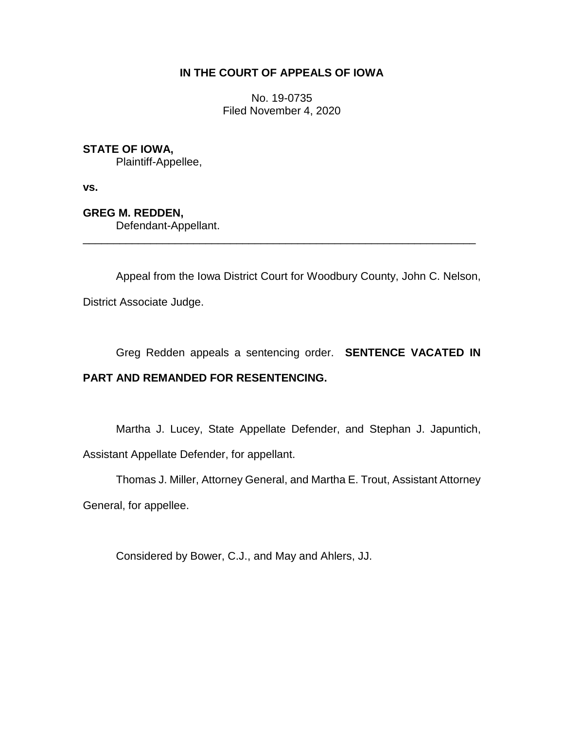## **IN THE COURT OF APPEALS OF IOWA**

No. 19-0735 Filed November 4, 2020

## **STATE OF IOWA,**

Plaintiff-Appellee,

**vs.**

**GREG M. REDDEN,**

Defendant-Appellant.

Appeal from the Iowa District Court for Woodbury County, John C. Nelson, District Associate Judge.

\_\_\_\_\_\_\_\_\_\_\_\_\_\_\_\_\_\_\_\_\_\_\_\_\_\_\_\_\_\_\_\_\_\_\_\_\_\_\_\_\_\_\_\_\_\_\_\_\_\_\_\_\_\_\_\_\_\_\_\_\_\_\_\_

Greg Redden appeals a sentencing order. **SENTENCE VACATED IN** 

## **PART AND REMANDED FOR RESENTENCING.**

Martha J. Lucey, State Appellate Defender, and Stephan J. Japuntich, Assistant Appellate Defender, for appellant.

Thomas J. Miller, Attorney General, and Martha E. Trout, Assistant Attorney

General, for appellee.

Considered by Bower, C.J., and May and Ahlers, JJ.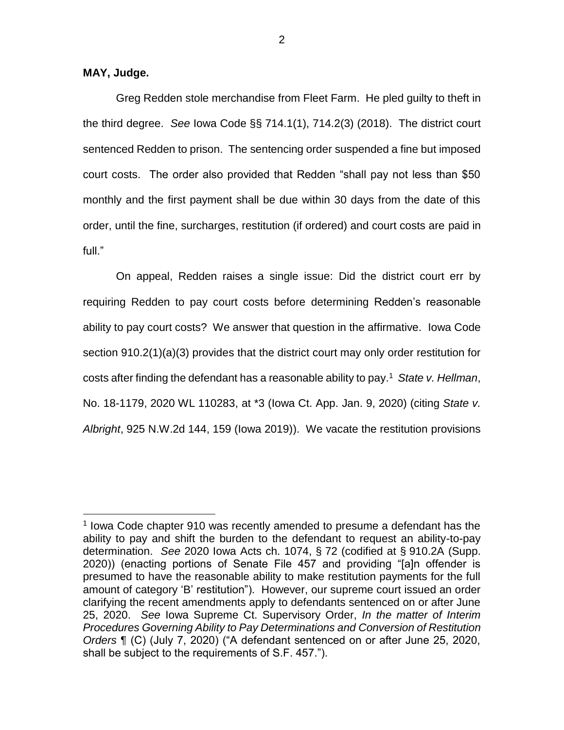## **MAY, Judge.**

 $\overline{a}$ 

Greg Redden stole merchandise from Fleet Farm. He pled guilty to theft in the third degree. *See* Iowa Code §§ 714.1(1), 714.2(3) (2018). The district court sentenced Redden to prison. The sentencing order suspended a fine but imposed court costs. The order also provided that Redden "shall pay not less than \$50 monthly and the first payment shall be due within 30 days from the date of this order, until the fine, surcharges, restitution (if ordered) and court costs are paid in full."

On appeal, Redden raises a single issue: Did the district court err by requiring Redden to pay court costs before determining Redden's reasonable ability to pay court costs? We answer that question in the affirmative. Iowa Code section 910.2(1)(a)(3) provides that the district court may only order restitution for costs after finding the defendant has a reasonable ability to pay.<sup>1</sup> State v. Hellman, No. 18-1179, 2020 WL 110283, at \*3 (Iowa Ct. App. Jan. 9, 2020) (citing *State v. Albright*, 925 N.W.2d 144, 159 (Iowa 2019)). We vacate the restitution provisions

<sup>&</sup>lt;sup>1</sup> Iowa Code chapter 910 was recently amended to presume a defendant has the ability to pay and shift the burden to the defendant to request an ability-to-pay determination. *See* 2020 Iowa Acts ch. 1074, § 72 (codified at § 910.2A (Supp. 2020)) (enacting portions of Senate File 457 and providing "[a]n offender is presumed to have the reasonable ability to make restitution payments for the full amount of category 'B' restitution"). However, our supreme court issued an order clarifying the recent amendments apply to defendants sentenced on or after June 25, 2020. *See* Iowa Supreme Ct. Supervisory Order, *In the matter of Interim Procedures Governing Ability to Pay Determinations and Conversion of Restitution Orders* ¶ (C) (July 7, 2020) ("A defendant sentenced on or after June 25, 2020, shall be subject to the requirements of S.F. 457.").